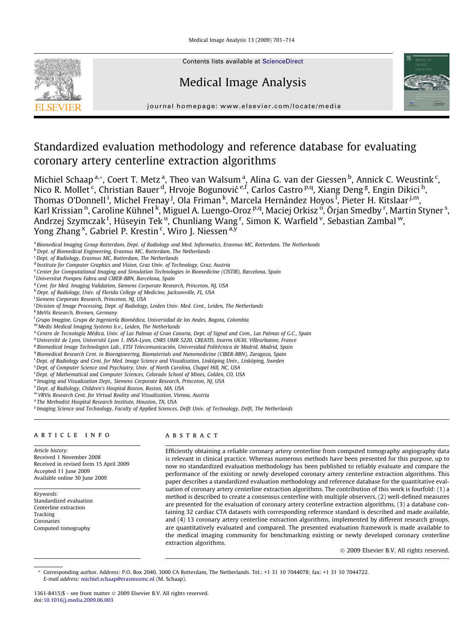Medical Image Analysis 13 (2009) 701–714



Contents lists available at [ScienceDirect](http://www.sciencedirect.com/science/journal/13618415)

# Medical Image Analysis



journal homepage: [www.elsevier.com/locate/media](http://www.elsevier.com/locate/media)

# Standardized evaluation methodology and reference database for evaluating coronary artery centerline extraction algorithms

Michiel Schaap <sup>a,</sup>\*, Coert T. Metz <sup>a</sup>, Theo van Walsum <sup>a</sup>, Alina G. van der Giessen <sup>b</sup>, Annick C. Weustink <sup>c</sup>, Nico R. Mollet<sup>'c</sup>, Christian Bauer'<sup>d</sup>, Hrvoje Bogunović <sup>e,f</sup>, Carlos Castro <sup>p,q</sup>, Xiang Deng'<sup>g</sup>, Engin Dikici <sup>h</sup>, Thomas O'Donnell <sup>i</sup>, Michel Frenay <sup>j</sup>, Ola Friman <sup>k</sup>, Marcela Hernández Hoyos <sup>l</sup>, Pieter H. Kitslaar <sup>j,m</sup>, Karl Krissian <sup>n</sup>, Caroline Kühnel <sup>k</sup>, Miguel A. Luengo-Oroz <sup>p,q</sup>, Maciej Orkisz <sup>o</sup>, Örjan Smedby <sup>r</sup>, Martin Styner <sup>s</sup>, Andrzej Szymczak†, Hüseyin Tek<sup>u</sup>, Chunliang Wang†, Simon K. Warfield<sup>,</sup>, Sebastian Zambal<sup>w</sup>, Yong Zhang<sup>x</sup>, Gabriel P. Krestin<sup>c</sup>, Wiro J. Niessen<sup>a,y</sup>

a Biomedical Imaging Group Rotterdam, Dept. of Radiology and Med. Informatics, Erasmus MC, Rotterdam, The Netherlands

**b** Dept. of Biomedical Engineering, Erasmus MC, Rotterdam, The Netherlands

 $c$  Dept. of Radiology, Erasmus MC, Rotterdam, The Netherlands

<sup>d</sup> Institute for Computer Graphics and Vision, Graz Univ. of Technology, Graz, Austria

<sup>e</sup> Center for Computational Imaging and Simulation Technologies in Biomedicine (CISTIB), Barcelona, Spain

f Universitat Pompeu Fabra and CIBER-BBN, Barcelona, Spain

- <sup>g</sup> Cent. for Med. Imaging Validation, Siemens Corporate Research, Princeton, NJ, USA
- h Dept. of Radiology, Univ. of Florida College of Medicine, Jacksonville, FL, USA
- <sup>i</sup> Siemens Corporate Research, Princeton, NJ, USA
- <sup>j</sup> Division of Image Processing, Dept. of Radiology, Leiden Univ. Med. Cent., Leiden, The Netherlands

<sup>k</sup> MeVis Research, Bremen, Germany

<sup>l</sup> Grupo Imagine, Grupo de Ingeniería Biomédica, Universidad de los Andes, Bogota, Colombia

<sup>m</sup> Medis Medical Imaging Systems b.v., Leiden, The Netherlands

<sup>n</sup> Centro de Tecnología Médica, Univ. of Las Palmas of Gran Canaria, Dept. of Signal and Com., Las Palmas of G.C., Spain

<sup>o</sup> Université de Lyon, Université Lyon 1, INSA-Lyon, CNRS UMR 5220, CREATIS, Inserm U630, Villeurbanne, France

<sup>p</sup> Biomedical Image Technologies Lab., ETSI Telecomunicación, Universidad Politécnica de Madrid, Madrid, Spain

<sup>q</sup> Biomedical Research Cent. in Bioengineering, Biomaterials and Nanomedicine (CIBER-BBN), Zaragoza, Spain

- r Dept. of Radiology and Cent. for Med. Image Science and Visualization, Linköping Univ., Linköping, Sweden
- <sup>s</sup> Dept. of Computer Science and Psychiatry, Univ. of North Carolina, Chapel Hill, NC, USA

<sup>t</sup> Dept. of Mathematical and Computer Sciences, Colorado School of Mines, Golden, CO, USA

<sup>u</sup> Imaging and Visualization Dept., Siemens Corporate Research, Princeton, NJ, USA <sup>v</sup> Dept. of Radiology, Children's Hospital Boston, Boston, MA, USA

<sup>w</sup> VRVis Research Cent. for Virtual Reality and Visualization, Vienna, Austria

<sup>x</sup> The Methodist Hospital Research Institute, Houston, TX, USA

<sup>y</sup> Imaging Science and Technology, Faculty of Applied Sciences, Delft Univ. of Technology, Delft, The Netherlands

# article info

Article history: Received 1 November 2008 Received in revised form 15 April 2009 Accepted 11 June 2009 Available online 30 June 2009

Keywords: Standardized evaluation Centerline extraction Tracking Coronaries Computed tomography

# ABSTRACT

Efficiently obtaining a reliable coronary artery centerline from computed tomography angiography data is relevant in clinical practice. Whereas numerous methods have been presented for this purpose, up to now no standardized evaluation methodology has been published to reliably evaluate and compare the performance of the existing or newly developed coronary artery centerline extraction algorithms. This paper describes a standardized evaluation methodology and reference database for the quantitative evaluation of coronary artery centerline extraction algorithms. The contribution of this work is fourfold: (1) a method is described to create a consensus centerline with multiple observers, (2) well-defined measures are presented for the evaluation of coronary artery centerline extraction algorithms, (3) a database containing 32 cardiac CTA datasets with corresponding reference standard is described and made available, and (4) 13 coronary artery centerline extraction algorithms, implemented by different research groups, are quantitatively evaluated and compared. The presented evaluation framework is made available to the medical imaging community for benchmarking existing or newly developed coronary centerline extraction algorithms.

- 2009 Elsevier B.V. All rights reserved.

\* Corresponding author. Address: P.O. Box 2040, 3000 CA Rotterdam, The Netherlands. Tel.: +1 31 10 7044078; fax: +1 31 10 7044722. E-mail address: [michiel.schaap@erasmusmc.nl](mailto:michiel.schaap@erasmusmc.nl) (M. Schaap).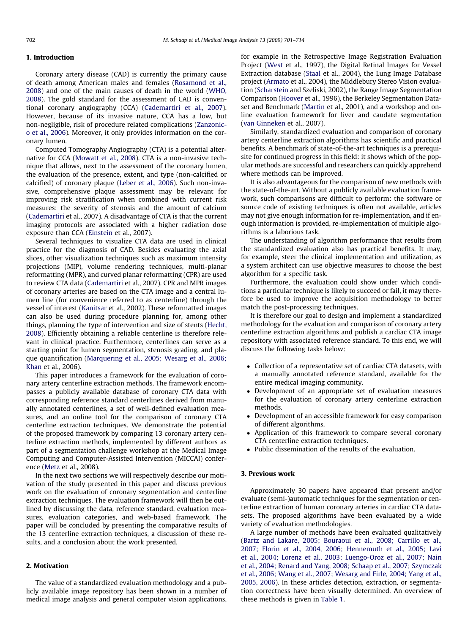# 1. Introduction

Coronary artery disease (CAD) is currently the primary cause of death among American males and females ([Rosamond et al.,](#page-13-0) [2008\)](#page-13-0) and one of the main causes of death in the world [\(WHO,](#page-13-0) [2008\)](#page-13-0). The gold standard for the assessment of CAD is conventional coronary angiography (CCA) ([Cademartiri et al., 2007\)](#page-12-0). However, because of its invasive nature, CCA has a low, but non-negligible, risk of procedure related complications ([Zanzonic](#page-13-0)[o et al., 2006](#page-13-0)). Moreover, it only provides information on the coronary lumen.

Computed Tomography Angiography (CTA) is a potential alternative for CCA [\(Mowatt et al., 2008\)](#page-12-0). CTA is a non-invasive technique that allows, next to the assessment of the coronary lumen, the evaluation of the presence, extent, and type (non-calcified or calcified) of coronary plaque ([Leber et al., 2006\)](#page-12-0). Such non-invasive, comprehensive plaque assessment may be relevant for improving risk stratification when combined with current risk measures: the severity of stenosis and the amount of calcium ([Cademartiri](#page-12-0) et al., 2007). A disadvantage of CTA is that the current imaging protocols are associated with a higher radiation dose exposure than CCA [\(Einstein](#page-12-0) et al., 2007).

Several techniques to visualize CTA data are used in clinical practice for the diagnosis of CAD. Besides evaluating the axial slices, other visualization techniques such as maximum intensity projections (MIP), volume rendering techniques, multi-planar reformatting (MPR), and curved planar reformatting (CPR) are used to review CTA data [\(Cademartiri](#page-12-0) et al., 2007). CPR and MPR images of coronary arteries are based on the CTA image and a central lumen line (for convenience referred to as centerline) through the vessel of interest [\(Kanitsar](#page-12-0) et al., 2002). These reformatted images can also be used during procedure planning for, among other things, planning the type of intervention and size of stents ([Hecht,](#page-12-0) [2008\)](#page-12-0). Efficiently obtaining a reliable centerline is therefore relevant in clinical practice. Furthermore, centerlines can serve as a starting point for lumen segmentation, stenosis grading, and plaque quantification ([Marquering et al., 2005; Wesarg et al., 2006;](#page-12-0) [Khan](#page-12-0) et al., 2006).

This paper introduces a framework for the evaluation of coronary artery centerline extraction methods. The framework encompasses a publicly available database of coronary CTA data with corresponding reference standard centerlines derived from manually annotated centerlines, a set of well-defined evaluation measures, and an online tool for the comparison of coronary CTA centerline extraction techniques. We demonstrate the potential of the proposed framework by comparing 13 coronary artery centerline extraction methods, implemented by different authors as part of a segmentation challenge workshop at the Medical Image Computing and Computer-Assisted Intervention (MICCAI) conference ([Metz](#page-12-0) et al., 2008).

In the next two sections we will respectively describe our motivation of the study presented in this paper and discuss previous work on the evaluation of coronary segmentation and centerline extraction techniques. The evaluation framework will then be outlined by discussing the data, reference standard, evaluation measures, evaluation categories, and web-based framework. The paper will be concluded by presenting the comparative results of the 13 centerline extraction techniques, a discussion of these results, and a conclusion about the work presented.

# 2. Motivation

The value of a standardized evaluation methodology and a publicly available image repository has been shown in a number of medical image analysis and general computer vision applications, for example in the Retrospective Image Registration Evaluation Project ([West](#page-13-0) et al., 1997), the Digital Retinal Images for Vessel Extraction database [\(Staal](#page-13-0) et al., 2004), the Lung Image Database project [\(Armato](#page-12-0) et al., 2004), the Middlebury Stereo Vision evaluation ([Scharstein](#page-13-0) and Szeliski, 2002), the Range Image Segmentation Comparison ([Hoover](#page-12-0) et al., 1996), the Berkeley Segmentation Dataset and Benchmark ([Martin](#page-12-0) et al., 2001), and a workshop and online evaluation framework for liver and caudate segmentation ([van Ginneken](#page-13-0) et al., 2007).

Similarly, standardized evaluation and comparison of coronary artery centerline extraction algorithms has scientific and practical benefits. A benchmark of state-of-the-art techniques is a prerequisite for continued progress in this field: it shows which of the popular methods are successful and researchers can quickly apprehend where methods can be improved.

It is also advantageous for the comparison of new methods with the state-of-the-art. Without a publicly available evaluation framework, such comparisons are difficult to perform: the software or source code of existing techniques is often not available, articles may not give enough information for re-implementation, and if enough information is provided, re-implementation of multiple algorithms is a laborious task.

The understanding of algorithm performance that results from the standardized evaluation also has practical benefits. It may, for example, steer the clinical implementation and utilization, as a system architect can use objective measures to choose the best algorithm for a specific task.

Furthermore, the evaluation could show under which conditions a particular technique is likely to succeed or fail, it may therefore be used to improve the acquisition methodology to better match the post-processing techniques.

It is therefore our goal to design and implement a standardized methodology for the evaluation and comparison of coronary artery centerline extraction algorithms and publish a cardiac CTA image repository with associated reference standard. To this end, we will discuss the following tasks below:

- Collection of a representative set of cardiac CTA datasets, with a manually annotated reference standard, available for the entire medical imaging community.
- Development of an appropriate set of evaluation measures for the evaluation of coronary artery centerline extraction methods.
- Development of an accessible framework for easy comparison of different algorithms.
- Application of this framework to compare several coronary CTA centerline extraction techniques.
- Public dissemination of the results of the evaluation.

# 3. Previous work

Approximately 30 papers have appeared that present and/or evaluate (semi-)automatic techniques for the segmentation or centerline extraction of human coronary arteries in cardiac CTA datasets. The proposed algorithms have been evaluated by a wide variety of evaluation methodologies.

A large number of methods have been evaluated qualitatively ([Bartz and Lakare, 2005; Bouraoui et al., 2008; Carrillo et al.,](#page-12-0) [2007; Florin et al., 2004, 2006; Hennemuth et al., 2005; Lavi](#page-12-0) [et al., 2004; Lorenz et al., 2003; Luengo-Oroz et al., 2007; Nain](#page-12-0) [et al., 2004; Renard and Yang, 2008; Schaap et al., 2007; Szymczak](#page-12-0) [et al., 2006; Wang et al., 2007; Wesarg and Firle, 2004; Yang et al.,](#page-12-0) [2005, 2006\)](#page-12-0). In these articles detection, extraction, or segmentation correctness have been visually determined. An overview of these methods is given in [Table 1.](#page-2-0)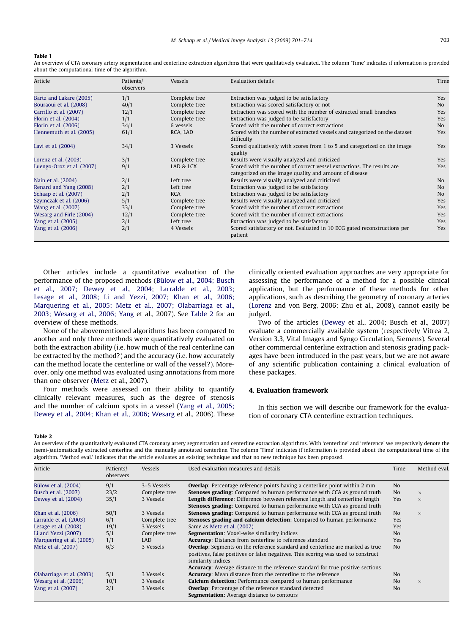#### <span id="page-2-0"></span>Table 1

An overview of CTA coronary artery segmentation and centerline extraction algorithms that were qualitatively evaluated. The column 'Time' indicates if information is provided about the computational time of the algorithm.

| Article                   | Patients/<br>observers | Vessels       | Evaluation details                                                                                                              | Time           |
|---------------------------|------------------------|---------------|---------------------------------------------------------------------------------------------------------------------------------|----------------|
| Bartz and Lakare (2005)   | 1/1                    | Complete tree | Extraction was judged to be satisfactory                                                                                        | Yes            |
| Bouraoui et al. (2008)    | 40/1                   | Complete tree | Extraction was scored satisfactory or not                                                                                       | N <sub>o</sub> |
| Carrillo et al. (2007)    | 12/1                   | Complete tree | Extraction was scored with the number of extracted small branches                                                               | <b>Yes</b>     |
| Florin et al. (2004)      | 1/1                    | Complete tree | Extraction was judged to be satisfactory                                                                                        | <b>Yes</b>     |
| Florin et al. (2006)      | 34/1                   | 6 vessels     | Scored with the number of correct extractions                                                                                   | N <sub>o</sub> |
| Hennemuth et al. (2005)   | 61/1                   | RCA, LAD      | Scored with the number of extracted vessels and categorized on the dataset<br>difficulty                                        | <b>Yes</b>     |
| Lavi et al. (2004)        | 34/1                   | 3 Vessels     | Scored qualitatively with scores from 1 to 5 and categorized on the image<br>quality                                            | <b>Yes</b>     |
| Lorenz et al. $(2003)$    | 3/1                    | Complete tree | Results were visually analyzed and criticized                                                                                   | <b>Yes</b>     |
| Luengo-Oroz et al. (2007) | 9/1                    | LAD & LCX     | Scored with the number of correct vessel extractions. The results are<br>categorized on the image quality and amount of disease | <b>Yes</b>     |
| Nain et al. (2004)        | 2/1                    | Left tree     | Results were visually analyzed and criticized                                                                                   | N <sub>o</sub> |
| Renard and Yang (2008)    | 2/1                    | Left tree     | Extraction was judged to be satisfactory                                                                                        | N <sub>0</sub> |
| Schaap et al. (2007)      | 2/1                    | <b>RCA</b>    | Extraction was judged to be satisfactory                                                                                        | N <sub>o</sub> |
| Szymczak et al. (2006)    | 5/1                    | Complete tree | Results were visually analyzed and criticized                                                                                   | <b>Yes</b>     |
| Wang et al. (2007)        | 33/1                   | Complete tree | Scored with the number of correct extractions                                                                                   | <b>Yes</b>     |
| Wesarg and Firle (2004)   | 12/1                   | Complete tree | Scored with the number of correct extractions                                                                                   | <b>Yes</b>     |
| Yang et al. (2005)        | 2/1                    | Left tree     | Extraction was judged to be satisfactory                                                                                        | <b>Yes</b>     |
| Yang et al. (2006)        | 2/1                    | 4 Vessels     | Scored satisfactory or not. Evaluated in 10 ECG gated reconstructions per<br>patient                                            | Yes            |

Other articles include a quantitative evaluation of the performance of the proposed methods ([Bülow et al., 2004; Busch](#page-12-0) [et al., 2007; Dewey et al., 2004; Larralde et al., 2003;](#page-12-0) [Lesage et al., 2008; Li and Yezzi, 2007; Khan et al., 2006;](#page-12-0) [Marquering et al., 2005; Metz et al., 2007; Olabarriaga et al.,](#page-12-0) [2003; Wesarg et al., 2006; Yang](#page-12-0) et al., 2007). See Table 2 for an overview of these methods.

None of the abovementioned algorithms has been compared to another and only three methods were quantitatively evaluated on both the extraction ability (i.e. how much of the real centerline can be extracted by the method?) and the accuracy (i.e. how accurately can the method locate the centerline or wall of the vessel?). Moreover, only one method was evaluated using annotations from more than one observer [\(Metz](#page-12-0) et al., 2007).

Four methods were assessed on their ability to quantify clinically relevant measures, such as the degree of stenosis and the number of calcium spots in a vessel ([Yang et al., 2005;](#page-13-0) [Dewey et al., 2004; Khan et al., 2006; Wesarg](#page-13-0) et al., 2006). These clinically oriented evaluation approaches are very appropriate for assessing the performance of a method for a possible clinical application, but the performance of these methods for other applications, such as describing the geometry of coronary arteries ([Lorenz](#page-12-0) and von Berg, 2006; Zhu et al., 2008), cannot easily be judged.

Two of the articles ([Dewey](#page-12-0) et al., 2004; Busch et al., 2007) evaluate a commercially available system (respectively Vitrea 2, Version 3.3, Vital Images and Syngo Circulation, Siemens). Several other commercial centerline extraction and stenosis grading packages have been introduced in the past years, but we are not aware of any scientific publication containing a clinical evaluation of these packages.

# 4. Evaluation framework

In this section we will describe our framework for the evaluation of coronary CTA centerline extraction techniques.

#### Table 2

An overview of the quantitatively evaluated CTA coronary artery segmentation and centerline extraction algorithms. With 'centerline' and 'reference' we respectively denote the (semi-)automatically extracted centerline and the manually annotated centerline. The column 'Time' indicates if information is provided about the computational time of the algorithm. 'Method eval.' indicates that the article evaluates an existing technique and that no new technique has been proposed.

| Article                   | Patients/<br>observers | Vessels       | Used evaluation measures and details                                                                                                                                                                                                                                                      | Time           | Method eval. |
|---------------------------|------------------------|---------------|-------------------------------------------------------------------------------------------------------------------------------------------------------------------------------------------------------------------------------------------------------------------------------------------|----------------|--------------|
| Bülow et al. (2004)       | 9/1                    | 3–5 Vessels   | <b>Overlap:</b> Percentage reference points having a centerline point within 2 mm                                                                                                                                                                                                         | N <sub>o</sub> |              |
| Busch et al. (2007)       | 23/2                   | Complete tree | <b>Stenoses grading:</b> Compared to human performance with CCA as ground truth                                                                                                                                                                                                           | N <sub>o</sub> | $\times$     |
| Dewey et al. (2004)       | 35/1                   | 3 Vessels     | Length difference: Difference between reference length and centerline length                                                                                                                                                                                                              | <b>Yes</b>     | $\times$     |
|                           |                        |               | <b>Stenoses grading:</b> Compared to human performance with CCA as ground truth                                                                                                                                                                                                           |                |              |
| Khan et al. (2006)        | 50/1                   | 3 Vessels     | <b>Stenoses grading:</b> Compared to human performance with CCA as ground truth                                                                                                                                                                                                           | N <sub>0</sub> | $\times$     |
| Larralde et al. (2003)    | 6/1                    | Complete tree | <b>Stenoses grading and calcium detection:</b> Compared to human performance                                                                                                                                                                                                              | Yes            |              |
| Lesage et al. $(2008)$    | 19/1                   | 3 Vessels     | Same as Metz et al. (2007)                                                                                                                                                                                                                                                                | <b>Yes</b>     |              |
| Li and Yezzi (2007)       | 5/1                    | Complete tree | <b>Segmentation:</b> Voxel-wise similarity indices                                                                                                                                                                                                                                        | N <sub>0</sub> |              |
| Marquering et al. (2005)  | 1/1                    | LAD.          | <b>Accuracy:</b> Distance from centerline to reference standard                                                                                                                                                                                                                           | Yes            |              |
| Metz et al. (2007)        | 6/3                    | 3 Vessels     | <b>Overlap:</b> Segments on the reference standard and centerline are marked as true<br>positives, false positives or false negatives. This scoring was used to construct<br>similarity indices<br><b>Accuracy:</b> Average distance to the reference standard for true positive sections | N <sub>0</sub> |              |
| Olabarriaga et al. (2003) | 5/1                    | 3 Vessels     | <b>Accuracy:</b> Mean distance from the centerline to the reference                                                                                                                                                                                                                       | N <sub>0</sub> |              |
| Wesarg et al. (2006)      | 10/1                   | 3 Vessels     | <b>Calcium detection:</b> Performance compared to human performance                                                                                                                                                                                                                       | N <sub>0</sub> | $\times$     |
| Yang et al. (2007)        | 2/1                    | 3 Vessels     | <b>Overlap:</b> Percentage of the reference standard detected<br>Segmentation: Average distance to contours                                                                                                                                                                               | N <sub>0</sub> |              |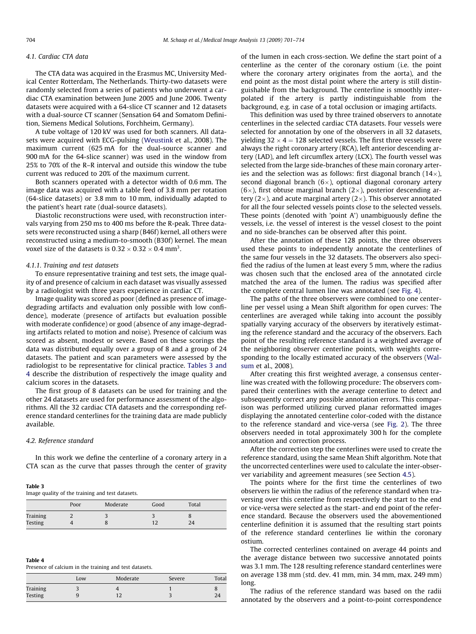### 4.1. Cardiac CTA data

The CTA data was acquired in the Erasmus MC, University Medical Center Rotterdam, The Netherlands. Thirty-two datasets were randomly selected from a series of patients who underwent a cardiac CTA examination between June 2005 and June 2006. Twenty datasets were acquired with a 64-slice CT scanner and 12 datasets with a dual-source CT scanner (Sensation 64 and Somatom Definition, Siemens Medical Solutions, Forchheim, Germany).

A tube voltage of 120 kV was used for both scanners. All datasets were acquired with ECG-pulsing [\(Weustink](#page-13-0) et al., 2008). The maximum current (625 mA for the dual-source scanner and 900 mA for the 64-slice scanner) was used in the window from 25% to 70% of the R–R interval and outside this window the tube current was reduced to 20% of the maximum current.

Both scanners operated with a detector width of 0.6 mm. The image data was acquired with a table feed of 3.8 mm per rotation (64-slice datasets) or 3.8 mm to 10 mm, individually adapted to the patient's heart rate (dual-source datasets).

Diastolic reconstructions were used, with reconstruction intervals varying from 250 ms to 400 ms before the R-peak. Three datasets were reconstructed using a sharp (B46f) kernel, all others were reconstructed using a medium-to-smooth (B30f) kernel. The mean voxel size of the datasets is  $0.32 \times 0.32 \times 0.4$  mm<sup>3</sup>.

#### 4.1.1. Training and test datasets

To ensure representative training and test sets, the image quality of and presence of calcium in each dataset was visually assessed by a radiologist with three years experience in cardiac CT.

Image quality was scored as poor (defined as presence of imagedegrading artifacts and evaluation only possible with low confidence), moderate (presence of artifacts but evaluation possible with moderate confidence) or good (absence of any image-degrading artifacts related to motion and noise). Presence of calcium was scored as absent, modest or severe. Based on these scorings the data was distributed equally over a group of 8 and a group of 24 datasets. The patient and scan parameters were assessed by the radiologist to be representative for clinical practice. Tables 3 and 4 describe the distribution of respectively the image quality and calcium scores in the datasets.

The first group of 8 datasets can be used for training and the other 24 datasets are used for performance assessment of the algorithms. All the 32 cardiac CTA datasets and the corresponding reference standard centerlines for the training data are made publicly available.

## 4.2. Reference standard

In this work we define the centerline of a coronary artery in a CTA scan as the curve that passes through the center of gravity

#### Table 3

Table 4

Image quality of the training and test datasets.

|                     | Poor | Moderate | Good | Total |
|---------------------|------|----------|------|-------|
| Training<br>Testing |      | э<br>ŏ   |      | 24    |

| Presence of calcium in the training and test datasets. |  |  |  |
|--------------------------------------------------------|--|--|--|

|                     | Low | Moderate | Severe | Total   |
|---------------------|-----|----------|--------|---------|
| Training<br>Testing |     |          |        | 8<br>24 |
|                     |     |          |        |         |

of the lumen in each cross-section. We define the start point of a centerline as the center of the coronary ostium (i.e. the point where the coronary artery originates from the aorta), and the end point as the most distal point where the artery is still distinguishable from the background. The centerline is smoothly interpolated if the artery is partly indistinguishable from the background, e.g. in case of a total occlusion or imaging artifacts.

This definition was used by three trained observers to annotate centerlines in the selected cardiac CTA datasets. Four vessels were selected for annotation by one of the observers in all 32 datasets, yielding  $32 \times 4 = 128$  selected vessels. The first three vessels were always the right coronary artery (RCA), left anterior descending artery (LAD), and left circumflex artery (LCX). The fourth vessel was selected from the large side-branches of these main coronary arteries and the selection was as follows: first diagonal branch  $(14x)$ , second diagonal branch  $(6\times)$ , optional diagonal coronary artery  $(6\times)$ , first obtuse marginal branch  $(2\times)$ , posterior descending artery ( $2\times$ ), and acute marginal artery ( $2\times$ ). This observer annotated for all the four selected vessels points close to the selected vessels. These points (denoted with 'point A') unambiguously define the vessels, i.e. the vessel of interest is the vessel closest to the point and no side-branches can be observed after this point.

After the annotation of these 128 points, the three observers used these points to independently annotate the centerlines of the same four vessels in the 32 datasets. The observers also specified the radius of the lumen at least every 5 mm, where the radius was chosen such that the enclosed area of the annotated circle matched the area of the lumen. The radius was specified after the complete central lumen line was annotated (see [Fig. 4](#page-4-0)).

The paths of the three observers were combined to one centerline per vessel using a Mean Shift algorithm for open curves: The centerlines are averaged while taking into account the possibly spatially varying accuracy of the observers by iteratively estimating the reference standard and the accuracy of the observers. Each point of the resulting reference standard is a weighted average of the neighboring observer centerline points, with weights corresponding to the locally estimated accuracy of the observers [\(Wal](#page-13-0)[sum](#page-13-0) et al., 2008).

After creating this first weighted average, a consensus centerline was created with the following procedure: The observers compared their centerlines with the average centerline to detect and subsequently correct any possible annotation errors. This comparison was performed utilizing curved planar reformatted images displaying the annotated centerline color-coded with the distance to the reference standard and vice-versa (see [Fig. 2](#page-4-0)). The three observers needed in total approximately 300 h for the complete annotation and correction process.

After the correction step the centerlines were used to create the reference standard, using the same Mean Shift algorithm. Note that the uncorrected centerlines were used to calculate the inter-observer variability and agreement measures (see Section [4.5](#page-6-0)).

The points where for the first time the centerlines of two observers lie within the radius of the reference standard when traversing over this centerline from respectively the start to the end or vice-versa were selected as the start- and end point of the reference standard. Because the observers used the abovementioned centerline definition it is assumed that the resulting start points of the reference standard centerlines lie within the coronary ostium.

The corrected centerlines contained on average 44 points and the average distance between two successive annotated points was 3.1 mm. The 128 resulting reference standard centerlines were on average 138 mm (std. dev. 41 mm, min. 34 mm, max. 249 mm) long.

The radius of the reference standard was based on the radii annotated by the observers and a point-to-point correspondence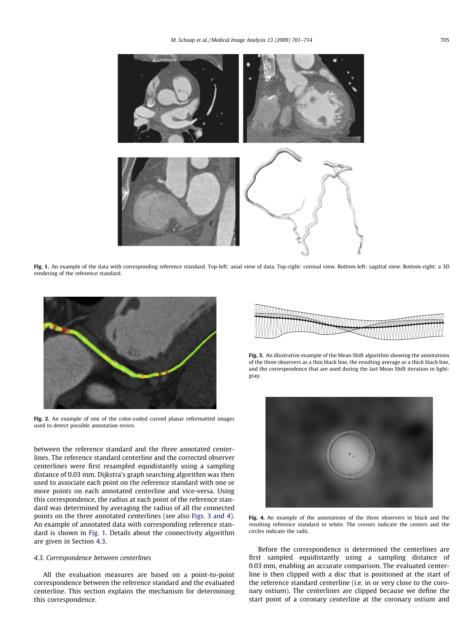<span id="page-4-0"></span>

Fig. 1. An example of the data with corresponding reference standard. Top-left: axial view of data. Top-right: coronal view. Bottom-left: sagittal view. Bottom-right: a 3D rendering of the reference standard.



Fig. 2. An example of one of the color-coded curved planar reformatted images used to detect possible annotation errors.

between the reference standard and the three annotated centerlines. The reference standard centerline and the corrected observer centerlines were first resampled equidistantly using a sampling distance of 0.03 mm. Dijkstra's graph searching algorithm was then used to associate each point on the reference standard with one or more points on each annotated centerline and vice-versa. Using this correspondence, the radius at each point of the reference standard was determined by averaging the radius of all the connected points on the three annotated centerlines (see also Figs. 3 and 4). An example of annotated data with corresponding reference standard is shown in Fig. 1. Details about the connectivity algorithm are given in Section 4.3.

# 4.3. Correspondence between centerlines

All the evaluation measures are based on a point-to-point correspondence between the reference standard and the evaluated centerline. This section explains the mechanism for determining this correspondence.



Fig. 3. An illustrative example of the Mean Shift algorithm showing the annotations of the three observers as a thin black line, the resulting average as a thick black line, and the correspondence that are used during the last Mean Shift iteration in lightgray.



Fig. 4. An example of the annotations of the three observers in black and the resulting reference standard in white. The crosses indicate the centers and the circles indicate the radii.

Before the correspondence is determined the centerlines are first sampled equidistantly using a sampling distance of 0.03 mm, enabling an accurate comparison. The evaluated centerline is then clipped with a disc that is positioned at the start of the reference standard centerline (i.e. in or very close to the coronary ostium). The centerlines are clipped because we define the start point of a coronary centerline at the coronary ostium and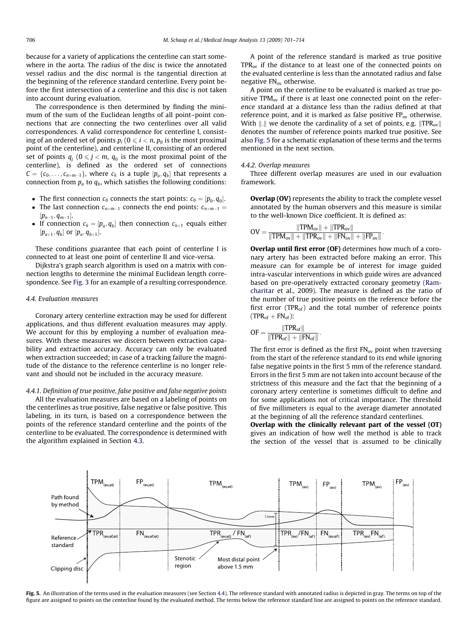because for a variety of applications the centerline can start somewhere in the aorta. The radius of the disc is twice the annotated vessel radius and the disc normal is the tangential direction at the beginning of the reference standard centerline. Every point before the first intersection of a centerline and this disc is not taken into account during evaluation.

The correspondence is then determined by finding the minimum of the sum of the Euclidean lengths of all point–point connections that are connecting the two centerlines over all valid correspondences. A valid correspondence for centerline I, consisting of an ordered set of points  $p_i$  ( $0 \le i \le n$ ,  $p_0$  is the most proximal point of the centerline), and centerline II, consisting of an ordered set of points  $q_j$  ( $0 \le j < m$ ,  $q_0$  is the most proximal point of the centerline), is defined as the ordered set of connections  $C = \{c_0, \ldots, c_{n+m-1}\}\$ , where  $c_k$  is a tuple  $[p_a, q_b]$  that represents a connection from  $p_a$  to  $q_b$ , which satisfies the following conditions:

- The first connection  $c_0$  connects the start points:  $c_0 = [p_0, q_0]$ .
- $\bullet$ The last connection  $c_{n+m-1}$  connects the end points:  $c_{n+m-1}$  =  $[p_{n-1}, q_{m-1}].$
- If connection  $c_k = [p_a, q_b]$  then connection  $c_{k+1}$  equals either  $[p_{a+1}, q_b]$  or  $[p_a, q_{b+1}].$

These conditions guarantee that each point of centerline I is connected to at least one point of centerline II and vice-versa.

Dijkstra's graph search algorithm is used on a matrix with connection lengths to determine the minimal Euclidean length correspondence. See [Fig. 3](#page-4-0) for an example of a resulting correspondence.

# 4.4. Evaluation measures

Coronary artery centerline extraction may be used for different applications, and thus different evaluation measures may apply. We account for this by employing a number of evaluation measures. With these measures we discern between extraction capability and extraction accuracy. Accuracy can only be evaluated when extraction succeeded; in case of a tracking failure the magnitude of the distance to the reference centerline is no longer relevant and should not be included in the accuracy measure.

# 4.4.1. Definition of true positive, false positive and false negative points

All the evaluation measures are based on a labeling of points on the centerlines as true positive, false negative or false positive. This labeling, in its turn, is based on a correspondence between the points of the reference standard centerline and the points of the centerline to be evaluated. The correspondence is determined with the algorithm explained in Section [4.3.](#page-4-0)

A point of the reference standard is marked as true positive TPR<sub>ov</sub> if the distance to at least one of the connected points on the evaluated centerline is less than the annotated radius and false negative  $FN_{ov}$  otherwise.

A point on the centerline to be evaluated is marked as true positive  $TPM_{ov}$  if there is at least one connected point on the reference standard at a distance less than the radius defined at that reference point, and it is marked as false positive  $FP_{ov}$  otherwise. With  $\Vert . \Vert$  we denote the cardinality of a set of points, e.g.  $\Vert \text{TPR}_{ov} \Vert$ denotes the number of reference points marked true positive. See also Fig. 5 for a schematic explanation of these terms and the terms mentioned in the next section.

# 4.4.2. Overlap measures

Three different overlap measures are used in our evaluation framework.

Overlap (OV) represents the ability to track the complete vessel annotated by the human observers and this measure is similar to the well-known Dice coefficient. It is defined as:

$$
OV = \frac{\|TPM_{ov}\| + \|TPR_{ov}\|}{\|TPM_{ov}\| + \|TPR_{ov}\| + \|FN_{ov}\| + \|FP_{ov}\|}.
$$

:

Overlap until first error (OF) determines how much of a coronary artery has been extracted before making an error. This measure can for example be of interest for image guided intra-vascular interventions in which guide wires are advanced based on pre-operatively extracted coronary geometry ([Ram](#page-13-0)[charitar](#page-13-0) et al., 2009). The measure is defined as the ratio of the number of true positive points on the reference before the first error (TPR<sub>of</sub>) and the total number of reference points  $(TPR<sub>of</sub> + FN<sub>of</sub>)$ :

$$
\mathsf{OF} = \frac{\|\mathsf{TPR}_{\mathsf{of}}\|}{\|\mathsf{TPR}_{\mathsf{of}}\| + \|\mathsf{FN}_{\mathsf{of}}\|}
$$

The first error is defined as the first  $FN_{ov}$  point when traversing from the start of the reference standard to its end while ignoring false negative points in the first 5 mm of the reference standard. Errors in the first 5 mm are not taken into account because of the strictness of this measure and the fact that the beginning of a coronary artery centerline is sometimes difficult to define and for some applications not of critical importance. The threshold of five millimeters is equal to the average diameter annotated at the beginning of all the reference standard centerlines.

Overlap with the clinically relevant part of the vessel (OT) gives an indication of how well the method is able to track the section of the vessel that is assumed to be clinically



Fig. 5. An illustration of the terms used in the evaluation measures (see Section 4.4). The reference standard with annotated radius is depicted in gray. The terms on top of the figure are assigned to points on the centerline found by the evaluated method. The terms below the reference standard line are assigned to points on the reference standard.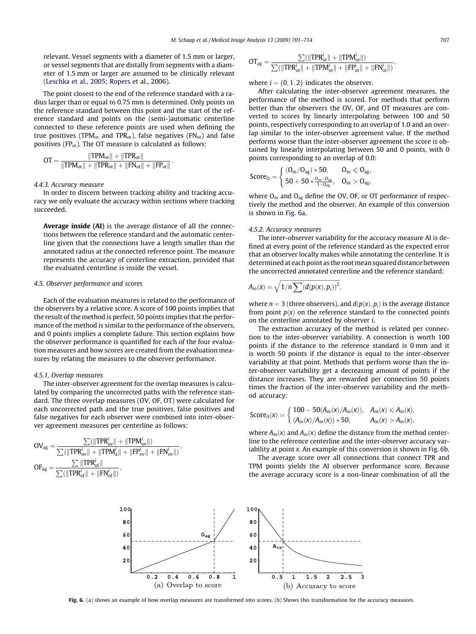<span id="page-6-0"></span>relevant. Vessel segments with a diameter of 1.5 mm or larger, or vessel segments that are distally from segments with a diameter of 1.5 mm or larger are assumed to be clinically relevant ([Leschka et al., 2005; Ropers](#page-12-0) et al., 2006).

The point closest to the end of the reference standard with a radius larger than or equal to 0.75 mm is determined. Only points on the reference standard between this point and the start of the reference standard and points on the (semi-)automatic centerline connected to these reference points are used when defining the true positives (TPM<sub>ot</sub> and TPR<sub>ot</sub>), false negatives (FN<sub>ot</sub>) and false positives ( $FP<sub>ot</sub>$ ). The OT measure is calculated as follows:

$$
OT = \frac{||TPM_{ot}|| + ||TPR_{ot}||}{||TPM_{ot}|| + ||TPR_{ot}|| + ||FN_{ot}|| + ||FP_{ot}||}.
$$

# 4.4.3. Accuracy measure

In order to discern between tracking ability and tracking accuracy we only evaluate the accuracy within sections where tracking succeeded.

Average inside (AI) is the average distance of all the connections between the reference standard and the automatic centerline given that the connections have a length smaller than the annotated radius at the connected reference point. The measure represents the accuracy of centerline extraction, provided that the evaluated centerline is inside the vessel.

# 4.5. Observer performance and scores

Each of the evaluation measures is related to the performance of the observers by a relative score. A score of 100 points implies that the result of the method is perfect, 50 points implies that the performance of the method is similar to the performance of the observers, and 0 points implies a complete failure. This section explains how the observer performance is quantified for each of the four evaluation measures and how scores are created from the evaluation measures by relating the measures to the observer performance.

#### 4.5.1. Overlap measures

The inter-observer agreement for the overlap measures is calculated by comparing the uncorrected paths with the reference standard. The three overlap measures (OV, OF, OT) were calculated for each uncorrected path and the true positives, false positives and false negatives for each observer were combined into inter-observer agreement measures per centerline as follows:

$$
OV_{ag} = \frac{\sum(||TPR_{ov}^i|| + ||TPM_{ov}^i||)}{\sum(||TPR_{ov}^i|| + ||TPM_a^i|| + ||FP_{ov}^i|| + ||FN_{ov}^i||)},
$$
  
\n
$$
OF_{ag} = \frac{\sum ||TPR_{of}^i||}{\sum (||TPR_{of}^i|| + ||FN_{of}^i||)},
$$

$$
\text{OT}_\text{ag} = \frac{\sum(\|\text{TPR}_\text{ot}^i\| + \|\text{TPM}_\text{ot}^i\|)}{\sum(\|\text{TPR}_\text{ot}^i\| + \|\text{TPM}_\text{ot}^i\| + \|\text{FP}_\text{ot}^i\| + \|\text{FN}_\text{ot}^i\|)},
$$

where  $i = \{0, 1, 2\}$  indicates the observer.

After calculating the inter-observer agreement measures, the performance of the method is scored. For methods that perform better than the observers the OV, OF, and OT measures are converted to scores by linearly interpolating between 100 and 50 points, respectively corresponding to an overlap of 1.0 and an overlap similar to the inter-observer agreement value. If the method performs worse than the inter-observer agreement the score is obtained by linearly interpolating between 50 and 0 points, with 0 points corresponding to an overlap of 0.0:

$$
Score_{O} = \left\{\begin{matrix} (O_m/O_{ag}) * 50, & O_m \leqslant O_{ag}, \\ 50 + 50 * \frac{O_m-O_{ag}}{1-O_{ag}}, & O_m > O_{ag}, \end{matrix}\right.
$$

where  $O_m$  and  $O_{ag}$  define the OV, OF, or OT performance of respectively the method and the observer. An example of this conversion is shown in Fig. 6a.

## 4.5.2. Accuracy measures

The inter-observer variability for the accuracy measure AI is defined at every point of the reference standard as the expected error that an observer locally makes while annotating the centerline. It is determined at each point as the rootmean squared distance between the uncorrected annotated centerline and the reference standard:

$$
A_{\rm io}(x) = \sqrt{1/n \sum (d(p(x), p_i))^2}
$$

where  $n = 3$  (three observers), and  $d(p(x), p_i)$  is the average distance from point  $p(x)$  on the reference standard to the connected points on the centerline annotated by observer i.

;

The extraction accuracy of the method is related per connection to the inter-observer variability. A connection is worth 100 points if the distance to the reference standard is 0 mm and it is worth 50 points if the distance is equal to the inter-observer variability at that point. Methods that perform worse than the inter-observer variability get a decreasing amount of points if the distance increases. They are rewarded per connection 50 points times the fraction of the inter-observer variability and the method accuracy:

$$
Score_A(x) = \left\{ \begin{array}{ll} 100-50(A_m(x)/A_{i_0}(x)), & A_m(x) \leqslant A_{i_0}(x), \\ (A_{i_0}(x)/A_m(x)) * 50, & A_m(x) > A_{i_0}(x), \end{array} \right.
$$

where  $A_m(x)$  and  $A_{in}(x)$  define the distance from the method centerline to the reference centerline and the inter-observer accuracy variability at point x. An example of this conversion is shown in Fig. 6b.

The average score over all connections that connect TPR and TPM points yields the AI observer performance score. Because the average accuracy score is a non-linear combination of all the



Fig. 6. (a) shows an example of how overlap measures are transformed into scores. (b) Shows this transformation for the accuracy measures.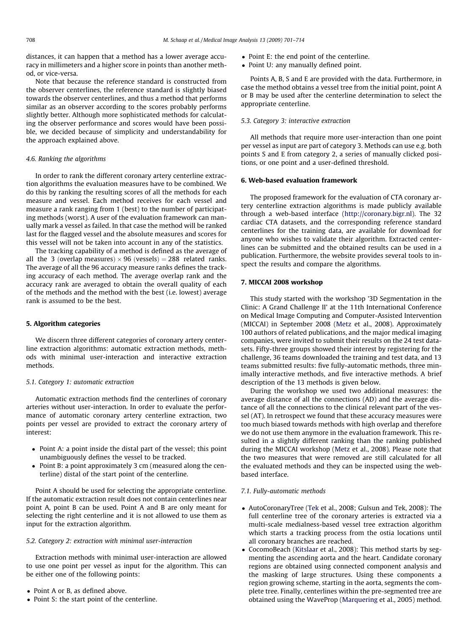<span id="page-7-0"></span>distances, it can happen that a method has a lower average accuracy in millimeters and a higher score in points than another method, or vice-versa.

Note that because the reference standard is constructed from the observer centerlines, the reference standard is slightly biased towards the observer centerlines, and thus a method that performs similar as an observer according to the scores probably performs slightly better. Although more sophisticated methods for calculating the observer performance and scores would have been possible, we decided because of simplicity and understandability for the approach explained above.

## 4.6. Ranking the algorithms

In order to rank the different coronary artery centerline extraction algorithms the evaluation measures have to be combined. We do this by ranking the resulting scores of all the methods for each measure and vessel. Each method receives for each vessel and measure a rank ranging from 1 (best) to the number of participating methods (worst). A user of the evaluation framework can manually mark a vessel as failed. In that case the method will be ranked last for the flagged vessel and the absolute measures and scores for this vessel will not be taken into account in any of the statistics.

The tracking capability of a method is defined as the average of all the 3 (overlap measures)  $\times$  96 (vessels) = 288 related ranks. The average of all the 96 accuracy measure ranks defines the tracking accuracy of each method. The average overlap rank and the accuracy rank are averaged to obtain the overall quality of each of the methods and the method with the best (i.e. lowest) average rank is assumed to be the best.

# 5. Algorithm categories

We discern three different categories of coronary artery centerline extraction algorithms: automatic extraction methods, methods with minimal user-interaction and interactive extraction methods.

## 5.1. Category 1: automatic extraction

Automatic extraction methods find the centerlines of coronary arteries without user-interaction. In order to evaluate the performance of automatic coronary artery centerline extraction, two points per vessel are provided to extract the coronary artery of interest:

- Point A: a point inside the distal part of the vessel; this point unambiguously defines the vessel to be tracked.
- Point B: a point approximately 3 cm (measured along the centerline) distal of the start point of the centerline.

Point A should be used for selecting the appropriate centerline. If the automatic extraction result does not contain centerlines near point A, point B can be used. Point A and B are only meant for selecting the right centerline and it is not allowed to use them as input for the extraction algorithm.

# 5.2. Category 2: extraction with minimal user-interaction

Extraction methods with minimal user-interaction are allowed to use one point per vessel as input for the algorithm. This can be either one of the following points:

- Point A or B, as defined above.
- Point S: the start point of the centerline.
- Point E: the end point of the centerline.
- Point U: any manually defined point.

Points A, B, S and E are provided with the data. Furthermore, in case the method obtains a vessel tree from the initial point, point A or B may be used after the centerline determination to select the appropriate centerline.

# 5.3. Category 3: interactive extraction

All methods that require more user-interaction than one point per vessel as input are part of category 3. Methods can use e.g. both points S and E from category 2, a series of manually clicked positions, or one point and a user-defined threshold.

# 6. Web-based evaluation framework

The proposed framework for the evaluation of CTA coronary artery centerline extraction algorithms is made publicly available through a web-based interface [\(http://coronary.bigr.nl\)](http://coronary.bigr.nl). The 32 cardiac CTA datasets, and the corresponding reference standard centerlines for the training data, are available for download for anyone who wishes to validate their algorithm. Extracted centerlines can be submitted and the obtained results can be used in a publication. Furthermore, the website provides several tools to inspect the results and compare the algorithms.

# 7. MICCAI 2008 workshop

This study started with the workshop '3D Segmentation in the Clinic: A Grand Challenge II' at the 11th International Conference on Medical Image Computing and Computer-Assisted Intervention (MICCAI) in September 2008 ([Metz](#page-12-0) et al., 2008). Approximately 100 authors of related publications, and the major medical imaging companies, were invited to submit their results on the 24 test datasets. Fifty-three groups showed their interest by registering for the challenge, 36 teams downloaded the training and test data, and 13 teams submitted results: five fully-automatic methods, three minimally interactive methods, and five interactive methods. A brief description of the 13 methods is given below.

During the workshop we used two additional measures: the average distance of all the connections (AD) and the average distance of all the connections to the clinical relevant part of the vessel (AT). In retrospect we found that these accuracy measures were too much biased towards methods with high overlap and therefore we do not use them anymore in the evaluation framework. This resulted in a slightly different ranking than the ranking published during the MICCAI workshop ([Metz](#page-12-0) et al., 2008). Please note that the two measures that were removed are still calculated for all the evaluated methods and they can be inspected using the webbased interface.

## 7.1. Fully-automatic methods

- AutoCoronaryTree ([Tek](#page-13-0) et al., 2008; Gulsun and Tek, 2008): The full centerline tree of the coronary arteries is extracted via a multi-scale medialness-based vessel tree extraction algorithm which starts a tracking process from the ostia locations until all coronary branches are reached.
- CocomoBeach ([Kitslaar](#page-12-0) et al., 2008): This method starts by segmenting the ascending aorta and the heart. Candidate coronary regions are obtained using connected component analysis and the masking of large structures. Using these components a region growing scheme, starting in the aorta, segments the complete tree. Finally, centerlines within the pre-segmented tree are obtained using the WaveProp [\(Marquering](#page-12-0) et al., 2005) method.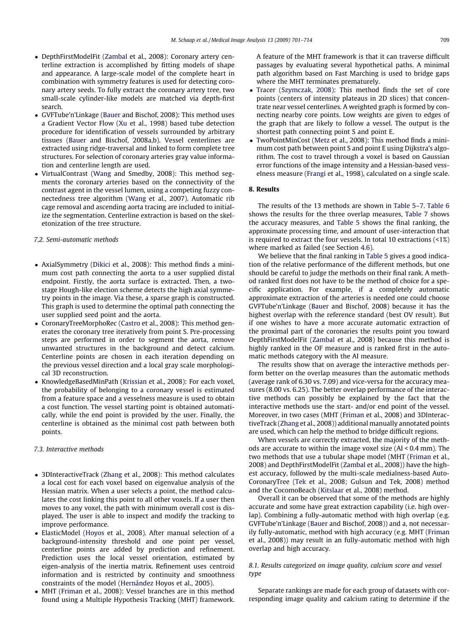- DepthFirstModelFit [\(Zambal](#page-13-0) et al., 2008): Coronary artery centerline extraction is accomplished by fitting models of shape and appearance. A large-scale model of the complete heart in combination with symmetry features is used for detecting coronary artery seeds. To fully extract the coronary artery tree, two small-scale cylinder-like models are matched via depth-first search.
- GVFTube'n'Linkage [\(Bauer](#page-12-0) and Bischof, 2008): This method uses a Gradient Vector Flow ([Xu](#page-13-0) et al., 1998) based tube detection procedure for identification of vessels surrounded by arbitrary tissues [\(Bauer](#page-12-0) and Bischof, 2008a,b). Vessel centerlines are extracted using ridge-traversal and linked to form complete tree structures. For selection of coronary arteries gray value information and centerline length are used.
- VirtualContrast ([Wang](#page-13-0) and Smedby, 2008): This method segments the coronary arteries based on the connectivity of the contrast agent in the vessel lumen, using a competing fuzzy connectedness tree algorithm ([Wang](#page-13-0) et al., 2007). Automatic rib cage removal and ascending aorta tracing are included to initialize the segmentation. Centerline extraction is based on the skeletonization of the tree structure.

# 7.2. Semi-automatic methods

- AxialSymmetry [\(Dikici](#page-12-0) et al., 2008): This method finds a minimum cost path connecting the aorta to a user supplied distal endpoint. Firstly, the aorta surface is extracted. Then, a twostage Hough-like election scheme detects the high axial symmetry points in the image. Via these, a sparse graph is constructed. This graph is used to determine the optimal path connecting the user supplied seed point and the aorta.
- CoronaryTreeMorphoRec ([Castro](#page-12-0) et al., 2008): This method generates the coronary tree iteratively from point S. Pre-processing steps are performed in order to segment the aorta, remove unwanted structures in the background and detect calcium. Centerline points are chosen in each iteration depending on the previous vessel direction and a local gray scale morphological 3D reconstruction.
- KnowledgeBasedMinPath ([Krissian](#page-12-0) et al., 2008): For each voxel, the probability of belonging to a coronary vessel is estimated from a feature space and a vesselness measure is used to obtain a cost function. The vessel starting point is obtained automatically, while the end point is provided by the user. Finally, the centerline is obtained as the minimal cost path between both points.

# 7.3. Interactive methods

- 3DInteractiveTrack ([Zhang](#page-13-0) et al., 2008): This method calculates a local cost for each voxel based on eigenvalue analysis of the Hessian matrix. When a user selects a point, the method calculates the cost linking this point to all other voxels. If a user then moves to any voxel, the path with minimum overall cost is displayed. The user is able to inspect and modify the tracking to improve performance.
- ElasticModel [\(Hoyos](#page-12-0) et al., 2008). After manual selection of a background-intensity threshold and one point per vessel, centerline points are added by prediction and refinement. Prediction uses the local vessel orientation, estimated by eigen-analysis of the inertia matrix. Refinement uses centroid information and is restricted by continuity and smoothness constraints of the model [\(Hernández](#page-12-0) Hoyos et al., 2005).
- MHT ([Friman](#page-12-0) et al., 2008): Vessel branches are in this method found using a Multiple Hypothesis Tracking (MHT) framework.

A feature of the MHT framework is that it can traverse difficult passages by evaluating several hypothetical paths. A minimal path algorithm based on Fast Marching is used to bridge gaps where the MHT terminates prematurely.

- Tracer [\(Szymczak, 2008\)](#page-13-0): This method finds the set of core points (centers of intensity plateaus in 2D slices) that concentrate near vessel centerlines. A weighted graph is formed by connecting nearby core points. Low weights are given to edges of the graph that are likely to follow a vessel. The output is the shortest path connecting point S and point E.
- TwoPointMinCost ([Metz](#page-12-0) et al., 2008): This method finds a minimum cost path between point S and point E using Dijkstra's algorithm. The cost to travel through a voxel is based on Gaussian error functions of the image intensity and a Hessian-based vesselness measure [\(Frangi](#page-12-0) et al., 1998), calculated on a single scale.

#### 8. Results

The results of the 13 methods are shown in [Table 5–7](#page-9-0). [Table 6](#page-9-0) shows the results for the three overlap measures, [Table 7](#page-9-0) shows the accuracy measures, and [Table 5](#page-9-0) shows the final ranking, the approximate processing time, and amount of user-interaction that is required to extract the four vessels. In total 10 extractions (<1%) where marked as failed (see Section [4.6](#page-7-0)).

We believe that the final ranking in [Table 5](#page-9-0) gives a good indication of the relative performance of the different methods, but one should be careful to judge the methods on their final rank. A method ranked first does not have to be the method of choice for a specific application. For example, if a completely automatic approximate extraction of the arteries is needed one could choose GVFTube'n'Linkage ([Bauer](#page-12-0) and Bischof, 2008) because it has the highest overlap with the reference standard (best OV result). But if one wishes to have a more accurate automatic extraction of the proximal part of the coronaries the results point you toward DepthFirstModelFit [\(Zambal](#page-13-0) et al., 2008) because this method is highly ranked in the OF measure and is ranked first in the automatic methods category with the AI measure.

The results show that on average the interactive methods perform better on the overlap measures than the automatic methods (average rank of 6.30 vs. 7.09) and vice-versa for the accuracy measures (8.00 vs. 6.25). The better overlap performance of the interactive methods can possibly be explained by the fact that the interactive methods use the start- and/or end point of the vessel. Moreover, in two cases (MHT ([Friman](#page-12-0) et al., 2008) and 3DInteractiveTrack ([Zhang](#page-13-0) et al., 2008)) additional manually annotated points are used, which can help the method to bridge difficult regions.

When vessels are correctly extracted, the majority of the methods are accurate to within the image voxel size (AI < 0.4 mm). The two methods that use a tubular shape model (MHT ([Friman](#page-12-0) et al., 2008) and DepthFirstModelFit ([Zambal](#page-13-0) et al., 2008)) have the highest accuracy, followed by the multi-scale medialness-based Auto-CoronaryTree ([Tek](#page-13-0) et al., 2008; Gulsun and Tek, 2008) method and the CocomoBeach [\(Kitslaar](#page-12-0) et al., 2008) method.

Overall it can be observed that some of the methods are highly accurate and some have great extraction capability (i.e. high overlap). Combining a fully-automatic method with high overlap (e.g. GVFTube'n'Linkage [\(Bauer](#page-12-0) and Bischof, 2008)) and a, not necessarily fully-automatic, method with high accuracy (e.g. MHT ([Friman](#page-12-0) et al., 2008)) may result in an fully-automatic method with high overlap and high accuracy.

# 8.1. Results categorized on image quality, calcium score and vessel type

Separate rankings are made for each group of datasets with corresponding image quality and calcium rating to determine if the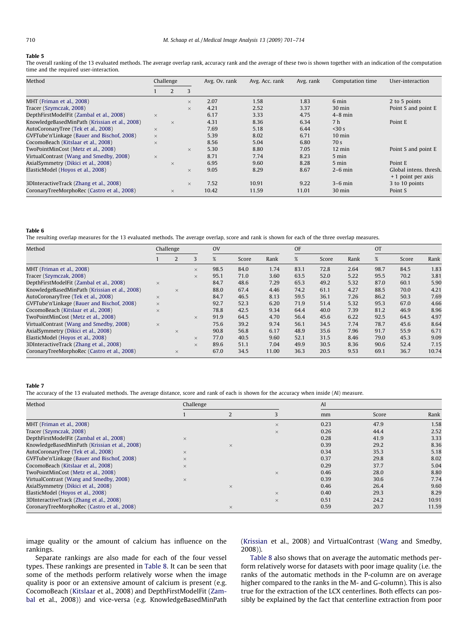#### <span id="page-9-0"></span>Table 5

The overall ranking of the 13 evaluated methods. The average overlap rank, accuracy rank and the average of these two is shown together with an indication of the computation time and the required user-interaction.

| Method                                        |          | Challenge |          | Avg. Ov. rank | Avg. Acc. rank | Avg. rank | Computation time | User-interaction       |
|-----------------------------------------------|----------|-----------|----------|---------------|----------------|-----------|------------------|------------------------|
|                                               |          | 2         | 3        |               |                |           |                  |                        |
| MHT (Friman et al., 2008)                     |          |           | $\times$ | 2.07          | 1.58           | 1.83      | 6 min            | 2 to 5 points          |
| Tracer (Szymczak, 2008)                       |          |           | $\times$ | 4.21          | 2.52           | 3.37      | $30 \text{ min}$ | Point S and point E    |
| DepthFirstModelFit (Zambal et al., 2008)      | $\times$ |           |          | 6.17          | 3.33           | 4.75      | $4-8$ min        |                        |
| KnowledgeBasedMinPath (Krissian et al., 2008) |          | $\times$  |          | 4.31          | 8.36           | 6.34      | 7 <sub>h</sub>   | Point E                |
| AutoCoronaryTree (Tek et al., 2008)           | $\times$ |           |          | 7.69          | 5.18           | 6.44      | $<$ 30 $s$       |                        |
| GVFTube'n'Linkage (Bauer and Bischof, 2008)   | $\times$ |           |          | 5.39          | 8.02           | 6.71      | $10 \text{ min}$ |                        |
| CocomoBeach (Kitslaar et al., 2008)           | $\times$ |           |          | 8.56          | 5.04           | 6.80      | 70 <sub>s</sub>  |                        |
| TwoPointMinCost (Metz et al., 2008)           |          |           | $\times$ | 5.30          | 8.80           | 7.05      | $12 \text{ min}$ | Point S and point E    |
| VirtualContrast (Wang and Smedby, 2008)       | $\times$ |           |          | 8.71          | 7.74           | 8.23      | $5 \text{ min}$  |                        |
| AxialSymmetry (Dikici et al., 2008)           |          | $\times$  |          | 6.95          | 9.60           | 8.28      | 5 min            | Point E                |
| ElasticModel (Hoyos et al., 2008)             |          |           | $\times$ | 9.05          | 8.29           | 8.67      | $2-6$ min        | Global intens, thresh. |
|                                               |          |           |          |               |                |           |                  | + 1 point per axis     |
| 3DInteractiveTrack (Zhang et al., 2008)       |          |           | $\times$ | 7.52          | 10.91          | 9.22      | $3-6$ min        | 3 to 10 points         |
| CoronaryTreeMorphoRec (Castro et al., 2008)   |          | $\times$  |          | 10.42         | 11.59          | 11.01     | $30 \text{ min}$ | Point S                |

Table 6

The resulting overlap measures for the 13 evaluated methods. The average overlap, score and rank is shown for each of the three overlap measures.

| Method                                        |          | Challenge |          |      | <b>OV</b> |       |      | OF    |      |      | <b>OT</b> |       |  |
|-----------------------------------------------|----------|-----------|----------|------|-----------|-------|------|-------|------|------|-----------|-------|--|
|                                               |          |           | 3        | %    | Score     | Rank  | %    | Score | Rank | %    | Score     | Rank  |  |
| MHT (Friman et al., 2008)                     |          |           | $\times$ | 98.5 | 84.0      | 1.74  | 83.1 | 72.8  | 2.64 | 98.7 | 84.5      | 1.83  |  |
| Tracer (Szymczak, 2008)                       |          |           | $\times$ | 95.1 | 71.0      | 3.60  | 63.5 | 52.0  | 5.22 | 95.5 | 70.2      | 3.81  |  |
| DepthFirstModelFit (Zambal et al., 2008)      | $\times$ |           |          | 84.7 | 48.6      | 7.29  | 65.3 | 49.2  | 5.32 | 87.0 | 60.1      | 5.90  |  |
| KnowledgeBasedMinPath (Krissian et al., 2008) |          | $\times$  |          | 88.0 | 67.4      | 4.46  | 74.2 | 61.1  | 4.27 | 88.5 | 70.0      | 4.21  |  |
| AutoCoronaryTree (Tek et al., 2008)           | $\times$ |           |          | 84.7 | 46.5      | 8.13  | 59.5 | 36.1  | 7.26 | 86.2 | 50.3      | 7.69  |  |
| GVFTube'n'Linkage (Bauer and Bischof, 2008)   | $\times$ |           |          | 92.7 | 52.3      | 6.20  | 71.9 | 51.4  | 5.32 | 95.3 | 67.0      | 4.66  |  |
| CocomoBeach (Kitslaar et al., 2008)           | $\times$ |           |          | 78.8 | 42.5      | 9.34  | 64.4 | 40.0  | 7.39 | 81.2 | 46.9      | 8.96  |  |
| TwoPointMinCost (Metz et al., 2008)           |          |           | $\times$ | 91.9 | 64.5      | 4.70  | 56.4 | 45.6  | 6.22 | 92.5 | 64.5      | 4.97  |  |
| VirtualContrast (Wang and Smedby, 2008)       | $\times$ |           |          | 75.6 | 39.2      | 9.74  | 56.1 | 34.5  | 7.74 | 78.7 | 45.6      | 8.64  |  |
| AxialSymmetry (Dikici et al., 2008)           |          | $\times$  |          | 90.8 | 56.8      | 6.17  | 48.9 | 35.6  | 7.96 | 91.7 | 55.9      | 6.71  |  |
| ElasticModel (Hoyos et al., 2008)             |          |           | $\times$ | 77.0 | 40.5      | 9.60  | 52.1 | 31.5  | 8.46 | 79.0 | 45.3      | 9.09  |  |
| 3DInteractiveTrack (Zhang et al., 2008)       |          |           | $\times$ | 89.6 | 51.1      | 7.04  | 49.9 | 30.5  | 8.36 | 90.6 | 52.4      | 7.15  |  |
| CoronaryTreeMorphoRec (Castro et al., 2008)   |          | $\times$  |          | 67.0 | 34.5      | 11.00 | 36.3 | 20.5  | 9.53 | 69.1 | 36.7      | 10.74 |  |

#### Table 7

The accuracy of the 13 evaluated methods. The average distance, score and rank of each is shown for the accuracy when inside (AI) measure.

| Method                                        | Challenge |               |          | AI   |       |       |  |  |
|-----------------------------------------------|-----------|---------------|----------|------|-------|-------|--|--|
|                                               |           | $\mathcal{L}$ |          | mm   | Score | Rank  |  |  |
| MHT (Friman et al., 2008)                     |           |               | $\times$ | 0.23 | 47.9  | 1.58  |  |  |
| Tracer (Szymczak, 2008)                       |           |               | $\times$ | 0.26 | 44.4  | 2.52  |  |  |
| DepthFirstModelFit (Zambal et al., 2008)      | $\times$  |               |          | 0.28 | 41.9  | 3.33  |  |  |
| KnowledgeBasedMinPath (Krissian et al., 2008) |           | $\times$      |          | 0.39 | 29.2  | 8.36  |  |  |
| AutoCoronaryTree (Tek et al., 2008)           | $\times$  |               |          | 0.34 | 35.3  | 5.18  |  |  |
| GVFTube'n'Linkage (Bauer and Bischof, 2008)   | $\times$  |               |          | 0.37 | 29.8  | 8.02  |  |  |
| CocomoBeach (Kitslaar et al., 2008)           | $\times$  |               |          | 0.29 | 37.7  | 5.04  |  |  |
| TwoPointMinCost (Metz et al., 2008)           |           |               | $\times$ | 0.46 | 28.0  | 8.80  |  |  |
| VirtualContrast (Wang and Smedby, 2008)       | $\times$  |               |          | 0.39 | 30.6  | 7.74  |  |  |
| AxialSymmetry (Dikici et al., 2008)           |           | $\times$      |          | 0.46 | 26.4  | 9.60  |  |  |
| ElasticModel (Hoyos et al., 2008)             |           |               | $\times$ | 0.40 | 29.3  | 8.29  |  |  |
| 3DInteractiveTrack (Zhang et al., 2008)       |           |               | $\times$ | 0.51 | 24.2  | 10.91 |  |  |
| CoronaryTreeMorphoRec (Castro et al., 2008)   |           | $\times$      |          | 0.59 | 20.7  | 11.59 |  |  |

image quality or the amount of calcium has influence on the rankings.

Separate rankings are also made for each of the four vessel types. These rankings are presented in [Table 8.](#page-10-0) It can be seen that some of the methods perform relatively worse when the image quality is poor or an extensive amount of calcium is present (e.g. CocomoBeach ([Kitslaar](#page-12-0) et al., 2008) and DepthFirstModelFit [\(Zam](#page-13-0)[bal](#page-13-0) et al., 2008)) and vice-versa (e.g. KnowledgeBasedMinPath ([Krissian](#page-12-0) et al., 2008) and VirtualContrast ([Wang](#page-13-0) and Smedby, 2008)).

[Table 8](#page-10-0) also shows that on average the automatic methods perform relatively worse for datasets with poor image quality (i.e. the ranks of the automatic methods in the P-column are on average higher compared to the ranks in the M- and G-column). This is also true for the extraction of the LCX centerlines. Both effects can possibly be explained by the fact that centerline extraction from poor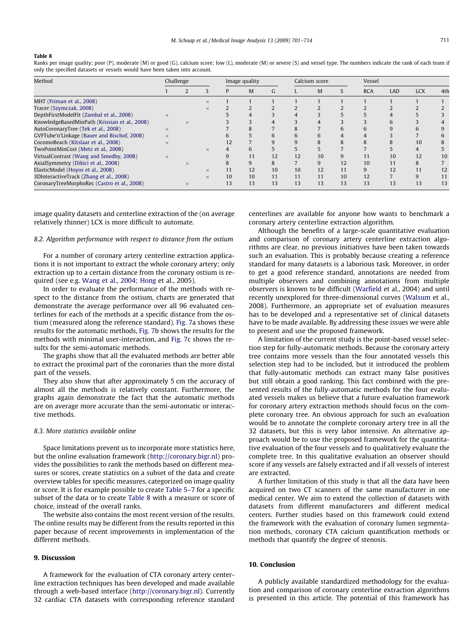#### <span id="page-10-0"></span>Table 8

Ranks per image quality; poor (P), moderate (M) or good (G), calcium score; low (L), moderate (M) or severe (S) and vessel type. The numbers indicate the rank of each team if only the specified datasets or vessels would have been taken into account.

| Method                                        |          | Challenge |          |    | Image quality   |    |    | Calcium score |    |            | Vessel |            |     |  |
|-----------------------------------------------|----------|-----------|----------|----|-----------------|----|----|---------------|----|------------|--------|------------|-----|--|
|                                               |          | 2         |          |    | M               | tт |    | M             |    | <b>RCA</b> | LAD    | <b>LCX</b> | 4th |  |
| MHT (Friman et al., 2008)                     |          |           |          |    |                 |    |    |               |    |            |        |            |     |  |
| Tracer (Szymczak, 2008)                       |          |           |          |    |                 |    |    |               |    |            |        |            |     |  |
| DepthFirstModelFit (Zambal et al., 2008)      | $\times$ |           |          |    |                 |    |    |               |    |            |        |            |     |  |
| KnowledgeBasedMinPath (Krissian et al., 2008) |          | $\times$  |          |    |                 |    |    |               |    |            |        |            |     |  |
| AutoCoronaryTree (Tek et al., 2008)           | $\times$ |           |          |    |                 |    |    |               |    |            |        |            |     |  |
| GVFTube'n'Linkage (Bauer and Bischof, 2008)   | $\times$ |           |          |    |                 |    |    |               |    |            |        |            |     |  |
| CocomoBeach (Kitslaar et al., 2008)           | $\times$ |           |          |    |                 |    |    |               |    |            |        | 10         |     |  |
| TwoPointMinCost (Metz et al., 2008)           |          |           | $\times$ |    | <sub>b</sub>    |    |    |               |    |            |        |            |     |  |
| VirtualContrast (Wang and Smedby, 2008)       | $\times$ |           |          |    |                 | 12 | 12 | 10            | 9  | 11         | 10     | 12         | 10  |  |
| AxialSymmetry (Dikici et al., 2008)           |          | $\times$  |          |    |                 |    |    |               | 12 | 10         | 11     | 8          |     |  |
| ElasticModel (Hoyos et al., 2008)             |          |           |          | 11 | 12 <sup>°</sup> | 10 | 10 | 12            | 11 | 9          | 12     |            | 12  |  |
| 3DInteractiveTrack (Zhang et al., 2008)       |          |           |          | 10 | 10 <sup>1</sup> | 11 | 11 | 11            | 10 | 12         |        |            |     |  |
| CoronaryTreeMorphoRec (Castro et al., 2008)   |          | $\times$  |          | 13 | 13              | 13 | 13 | 13            | 13 | 13         | 13     | 13         | 13  |  |

image quality datasets and centerline extraction of the (on average relatively thinner) LCX is more difficult to automate.

## 8.2. Algorithm performance with respect to distance from the ostium

For a number of coronary artery centerline extraction applications it is not important to extract the whole coronary artery; only extraction up to a certain distance from the coronary ostium is required (see e.g. [Wang et al., 2004; Hong](#page-13-0) et al., 2005).

In order to evaluate the performance of the methods with respect to the distance from the ostium, charts are generated that demonstrate the average performance over all 96 evaluated centerlines for each of the methods at a specific distance from the ostium (measured along the reference standard). [Fig. 7a](#page-11-0) shows these results for the automatic methods, [Fig. 7b](#page-11-0) shows the results for the methods with minimal user-interaction, and [Fig. 7c](#page-11-0) shows the results for the semi-automatic methods.

The graphs show that all the evaluated methods are better able to extract the proximal part of the coronaries than the more distal part of the vessels.

They also show that after approximately 5 cm the accuracy of almost all the methods is relatively constant. Furthermore, the graphs again demonstrate the fact that the automatic methods are on average more accurate than the semi-automatic or interactive methods.

#### 8.3. More statistics available online

Space limitations prevent us to incorporate more statistics here, but the online evaluation framework (<http://coronary.bigr.nl>) provides the possibilities to rank the methods based on different measures or scores, create statistics on a subset of the data and create overview tables for specific measures, categorized on image quality or score. It is for example possible to create [Table 5–7](#page-9-0) for a specific subset of the data or to create Table 8 with a measure or score of choice, instead of the overall ranks.

The website also contains the most recent version of the results. The online results may be different from the results reported in this paper because of recent improvements in implementation of the different methods.

# 9. Discussion

A framework for the evaluation of CTA coronary artery centerline extraction techniques has been developed and made available through a web-based interface ([http://coronary.bigr.nl\)](http://coronary.bigr.nl). Currently 32 cardiac CTA datasets with corresponding reference standard centerlines are available for anyone how wants to benchmark a coronary artery centerline extraction algorithm.

Although the benefits of a large-scale quantitative evaluation and comparison of coronary artery centerline extraction algorithms are clear, no previous initiatives have been taken towards such an evaluation. This is probably because creating a reference standard for many datasets is a laborious task. Moreover, in order to get a good reference standard, annotations are needed from multiple observers and combining annotations from multiple observers is known to be difficult ([Warfield](#page-13-0) et al., 2004) and until recently unexplored for three-dimensional curves ([Walsum](#page-13-0) et al., 2008). Furthermore, an appropriate set of evaluation measures has to be developed and a representative set of clinical datasets have to be made available. By addressing these issues we were able to present and use the proposed framework.

A limitation of the current study is the point-based vessel selection step for fully-automatic methods. Because the coronary artery tree contains more vessels than the four annotated vessels this selection step had to be included, but it introduced the problem that fully-automatic methods can extract many false positives but still obtain a good ranking. This fact combined with the presented results of the fully-automatic methods for the four evaluated vessels makes us believe that a future evaluation framework for coronary artery extraction methods should focus on the complete coronary tree. An obvious approach for such an evaluation would be to annotate the complete coronary artery tree in all the 32 datasets, but this is very labor intensive. An alternative approach would be to use the proposed framework for the quantitative evaluation of the four vessels and to qualitatively evaluate the complete tree. In this qualitative evaluation an observer should score if any vessels are falsely extracted and if all vessels of interest are extracted.

A further limitation of this study is that all the data have been acquired on two CT scanners of the same manufacturer in one medical center. We aim to extend the collection of datasets with datasets from different manufacturers and different medical centers. Further studies based on this framework could extend the framework with the evaluation of coronary lumen segmentation methods, coronary CTA calcium quantification methods or methods that quantify the degree of stenosis.

# 10. Conclusion

A publicly available standardized methodology for the evaluation and comparison of coronary centerline extraction algorithms is presented in this article. The potential of this framework has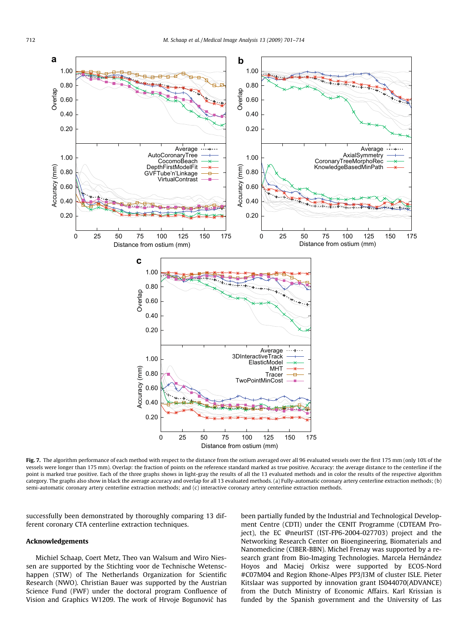<span id="page-11-0"></span>

Fig. 7. The algorithm performance of each method with respect to the distance from the ostium averaged over all 96 evaluated vessels over the first 175 mm (only 10% of the vessels were longer than 175 mm). Overlap: the fraction of points on the reference standard marked as true positive. Accuracy: the average distance to the centerline if the point is marked true positive. Each of the three graphs shows in light-gray the results of all the 13 evaluated methods and in color the results of the respective algorithm category. The graphs also show in black the average accuracy and overlap for all 13 evaluated methods. (a) Fully-automatic coronary artery centerline extraction methods; (b) semi-automatic coronary artery centerline extraction methods; and (c) interactive coronary artery centerline extraction methods.

successfully been demonstrated by thoroughly comparing 13 different coronary CTA centerline extraction techniques.

# Acknowledgements

Michiel Schaap, Coert Metz, Theo van Walsum and Wiro Niessen are supported by the Stichting voor de Technische Wetenschappen (STW) of The Netherlands Organization for Scientific Research (NWO). Christian Bauer was supported by the Austrian Science Fund (FWF) under the doctoral program Confluence of Vision and Graphics W1209. The work of Hrvoje Bogunovic´ has

been partially funded by the Industrial and Technological Development Centre (CDTI) under the CENIT Programme (CDTEAM Project), the EC @neurIST (IST-FP6-2004-027703) project and the Networking Research Center on Bioengineering, Biomaterials and Nanomedicine (CIBER-BBN). Michel Frenay was supported by a research grant from Bio-Imaging Technologies. Marcela Hernández Hoyos and Maciej Orkisz were supported by ECOS-Nord #C07M04 and Region Rhone-Alpes PP3/I3M of cluster ISLE. Pieter Kitslaar was supported by innovation grant IS044070(ADVANCE) from the Dutch Ministry of Economic Affairs. Karl Krissian is funded by the Spanish government and the University of Las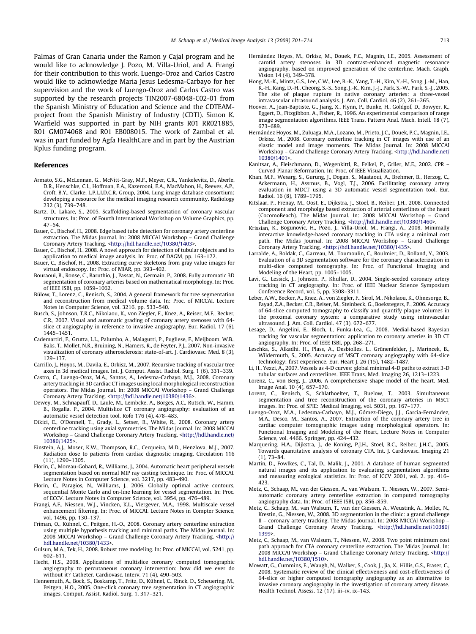<span id="page-12-0"></span>Palmas of Gran Canaria under the Ramon y Cajal program and he would like to acknowledge J. Pozo, M. Villa-Uriol, and A. Frangi for their contribution to this work. Luengo-Oroz and Carlos Castro would like to acknowledge Maria Jesus Ledesma-Carbayo for her supervision and the work of Luengo-Oroz and Carlos Castro was supported by the research projects TIN2007-68048-C02-01 from the Spanish Ministry of Education and Science and the CDTEAMproject from the Spanish Ministry of Industry (CDTI). Simon K. Warfield was supported in part by NIH grants R01 RR021885, R01 GM074068 and R01 EB008015. The work of Zambal et al. was in part funded by Agfa HealthCare and in part by the Austrian Kplus funding program.

### References

- Armato, S.G., McLennan, G., McNitt-Gray, M.F., Meyer, C.R., Yankelevitz, D., Aberle, D.R., Henschke, C.I., Hoffman, E.A., Kazerooni, E.A., MacMahon, H., Reeves, A.P., Croft, B.Y., Clarke, L.P.L.I.D.C.R. Group, 2004. Lung image database consortium: developing a resource for the medical imaging research community. Radiology 232 (3), 739–748.
- Bartz, D., Lakare, S., 2005. Scaffolding-based segmentation of coronary vascular structures. In: Proc. of Fourth International Workshop on Volume Graphics, pp. 47–54.
- Bauer, C., Bischof, H., 2008. Edge based tube detection for coronary artery centerline extraction. The Midas Journal. In: 2008 MICCAI Workshop – Grand Challenge Coronary Artery Tracking. <[http://hdl.handle.net/10380/1403>](http://hdl.handle.net/10380/1403).
- Bauer, C., Bischof, H., 2008. A novel approach for detection of tubular objects and its application to medical image analysis. In: Proc. of DAGM, pp. 163–172.
- Bauer, C., Bischof, H., 2008. Extracting curve skeletons from gray value images for virtual endoscopy. In: Proc. of MIAR, pp. 393–402.
- Bouraoui, B., Ronse, C., Baruthio, J., Passat, N., Germain, P., 2008. Fully automatic 3D segmentation of coronary arteries based on mathematical morphology. In: Proc. of IEEE ISBI, pp. 1059–1062.
- Bülow, T., Lorenz, C., Renisch, S., 2004. A general framework for tree segmentation and reconstruction from medical volume data. In: Proc. of MICCAI. Lecture Notes in Computer Science, vol. 3216, pp. 533–540.
- Busch, S., Johnson, T.R.C., Nikolaou, K., von Ziegler, F., Knez, A., Reiser, M.F., Becker, C.R., 2007. Visual and automatic grading of coronary artery stenoses with 64 slice ct angiography in reference to invasive angiography. Eur. Radiol. 17 (6), 1445–1451.
- Cademartiri, F., Grutta, L.L., Palumbo, A., Malagutti, P., Pugliese, F., Meijboom, W.B., Baks, T., Mollet, N.R., Bruining, N., Hamers, R., de Feyter, P.J., 2007. Non-invasive visualization of coronary atherosclerosis: state-of-art. J. Cardiovasc. Med. 8 (3), 129–137.
- Carrillo, J., Hoyos, M., Davila, E., Orkisz, M., 2007. Recursive tracking of vascular tree axes in 3d medical images. Int. J. Comput. Assist. Radiol. Surg. 1 (6), 331–339.
- Castro, C., Luengo-Oroz, M.A., Santos, A., Ledesma-Carbayo, M.J., 2008. Coronary artery tracking in 3D cardiac CT images using local morphological reconstruction operators. The Midas Journal. In: 2008 MICCAI Workshop – Grand Challenge Coronary Artery Tracking. [<http://hdl.handle.net/10380/1436>](http://hdl.handle.net/10380/1436).
- Dewey, M., Schnapauff, D., Laule, M., Lembcke, A., Borges, A.C., Rutsch, W., Hamm, B., Rogalla, P., 2004. Multislice CT coronary angiography: evaluation of an automatic vessel detection tool. Rofo 176 (4), 478–483.
- Dikici, E., O'Donnell, T., Grady, L., Setser, R., White, R., 2008. Coronary artery centerline tracking using axial symmetries. The Midas Journal. In: 2008 MICCAI Workshop – Grand Challenge Coronary Artery Tracking. [<http://hdl.handle.net/](http://hdl.handle.net/10380/1425) [10380/1425>](http://hdl.handle.net/10380/1425).
- Einstein, A.J., Moser, K.W., Thompson, R.C., Cerqueira, M.D., Henzlova, M.J., 2007. Radiation dose to patients from cardiac diagnostic imaging. Circulation 116 (11), 1290–1305.
- Florin, C., Moreau-Gobard, R., Williams, J., 2004. Automatic heart peripheral vessels segmentation based on normal MIP ray casting technique. In: Proc. of MICCAI. Lecture Notes in Computer Science, vol. 3217, pp. 483–490.
- Florin, C., Paragios, N., Williams, J., 2006. Globally optimal active contours, sequential Monte Carlo and on-line learning for vessel segmentation. In: Proc. of ECCV. Lecture Notes in Computer Science, vol. 3954, pp. 476–489.
- Frangi, A.F., Niessen, W.J., Vincken, K.L., Viergever, M.A., 1998. Multiscale vessel enhancement filtering. In: Proc. of MICCAI. Lecture Notes in Compter Science, vol. 1496, pp. 130–137.
- Friman, O., Kühnel, C., Peitgen, H.-O., 2008. Coronary artery centerline extraction using multiple hypothesis tracking and minimal paths. The Midas Journal. In: 2008 MICCAI Workshop – Grand Challenge Coronary Artery Tracking. <[http://](http://hdl.handle.net/10380/1433) [hdl.handle.net/10380/1433>](http://hdl.handle.net/10380/1433).
- Gulsun, M.A., Tek, H., 2008. Robust tree modeling. In: Proc. of MICCAI, vol. 5241, pp. 602–611.
- Hecht, H.S., 2008. Applications of multislice coronary computed tomographic angiography to percutaneous coronary intervention: how did we ever do without it? Catheter. Cardiovasc. Interv. 71 (4), 490–503.
- Hennemuth, A., Bock, S., Boskamp, T., Fritz, D., Kühnel, C., Rinck, D., Scheuering, M., Peitgen, H.O., 2005. One-click coronary tree segmentation in CT angiographic images. Comput. Assist. Radiol. Surg. 1, 317–321.
- Hernández Hoyos, M., Orkisz, M., Douek, P.C., Magnin, I.E., 2005. Assessment of carotid artery stenoses in 3D contrast-enhanced magnetic resonance angiography, based on improved generation of the centerline. Mach. Graph. Vision 14 (4), 349–378.
- Hong, M.-K., Mintz, G.S., Lee, C.W., Lee, B.-K., Yang, T.-H., Kim, Y.-H., Song, J.-M., Han, K.-H., Kang, D.-H., Cheong, S.-S., Song, J.-K., Kim, J.-J., Park, S.-W., Park, S.-J., 2005. The site of plaque rupture in native coronary arteries: a three-vessel intravascular ultrasound analysis. J. Am. Coll. Cardiol. 46 (2), 261–265.
- Hoover, A., Jean-Baptiste, G., Jiang, X., Flynn, P., Bunke, H., Goldgof, D., Bowyer, K., Eggert, D., Fitzgibbon, A., Fisher, R., 1996. An experimental comparison of range image segmentation algorithms. IEEE Trans. Pattern Anal. Mach. Intell. 18 (7), 673–689.
- Hernández Hoyos, M., Zuluaga, M.A., Lozano, M., Prieto, J.C., Douek, P.C., Magnin, I.E., Orkisz, M., 2008. Coronary centerline tracking in CT images with use of an elastic model and image moments. The Midas Journal. In: 2008 MICCAI Workshop – Grand Challenge Coronary Artery Tracking. [<http://hdl.handle.net/](http://hdl.handle.net/10380/1401) [10380/1401>](http://hdl.handle.net/10380/1401).
- Kanitsar, A., Fleischmann, D., Wegenkittl, R., Felkel, P., Grller, M.E., 2002. CPR Curved Planar Reformation. In: Proc. of IEEE Visualization.
- Khan, M.F., Wesarg, S., Gurung, J., Dogan, S., Maataoui, A., Brehmer, B., Herzog, C., Ackermann, H., Assmus, B., Vogl, T.J., 2006. Facilitating coronary artery evaluation in MDCT using a 3D automatic vessel segmentation tool. Eur. Radiol. 16 (8), 1789–1795.
- Kitslaar, P., Frenay, M., Oost, E., Dijkstra, J., Stoel, B., Reiber, J.H., 2008. Connected component and morpholgy based extraction of arterial centerlines of the heart (CocomoBeach). The Midas Journal. In: 2008 MICCAI Workshop – Grand Challenge Coronary Artery Tracking. [<http://hdl.handle.net/10380/1460](http://hdl.handle.net/10380/1460)>.
- Krissian, K., Bogunovic, H., Pozo, J., Villa-Uriol, M., Frangi, A., 2008. Minimally interactive knowledge-based coronary tracking in CTA using a minimal cost path. The Midas Journal. In: 2008 MICCAI Workshop – Grand Challenge Coronary Artery Tracking. <[http://hdl.handle.net/10380/1435>](http://hdl.handle.net/10380/1435).
- Larralde, A., Boldak, C., Garreau, M., Toumoulin, C., Boulmier, D., Rolland, Y., 2003. Evaluation of a 3D segmentation software for the coronary characterization in multi-slice computed tomography. In: Proc. of Functional Imaging and Modeling of the Heart, pp. 1005–1005.
- Lavi, G., Lessick, J., Johnson, P., Khullar, D., 2004. Single-seeded coronary artery tracking in CT angiography. In: Proc. of IEEE Nuclear Science Symposium Conference Record, vol. 5, pp. 3308–3311.
- Leber, A.W., Becker, A., Knez, A., von Ziegler, F., Sirol, M., Nikolaou, K., Ohnesorge, B., Fayad, Z.A., Becker, C.R., Reiser, M., Steinbeck, G., Boekstegers, P., 2006. Accuracy of 64-slice computed tomography to classify and quantify plaque volumes in the proximal coronary system: a comparative study using intravascular ultrasound. J. Am. Coll. Cardiol. 47 (3), 672–677.
- Lesage, D., Angelini, E., Bloch, I., Funka-Lea, G., 2008. Medial-based Bayesian tracking for vascular segmentation: application to coronary arteries in 3D CT angiography. In: Proc. of IEEE ISBI, pp. 268–271.
- Leschka, S., Alkadhi, H., Plass, A., Desbiolles, L., Grünenfelder, J., Marincek, B., Wildermuth, S., 2005. Accuracy of MSCT coronary angiography with 64-slice technology: first experience. Eur. Heart J. 26 (15), 1482–1487.
- Li, H., Yezzi, A., 2007. Vessels as 4-D curves: global minimal 4-D paths to extract 3-D tubular surfaces and centerlines. IEEE Trans. Med. Imaging 26, 1213–1223.
- Lorenz, C., von Berg, J., 2006. A comprehensive shape model of the heart. Med. Image Anal. 10 (4), 657–670.
- Lorenz, C., Renisch, S., Schlathoelter, T., Buelow, T., 2003. Simultaneous segmentation and tree reconstruction of the coronary arteries in MSCT images. In: Proc. of SPIE: Medical Imaging, vol. 5031, pp. 167–177.
- Luengo-Oroz, M.A., Ledesma-Carbayo, M.J., Gómez-Diego, J.J., García-Fernández, M.A., Desco, M., Santos, A., 2007. Extraction of the coronary artery tree in cardiac computer tomographic images using morphological operators. In: Functional Imaging and Modeling of the Heart, Lecture Notes in Computer Science, vol. 4466. Springer, pp. 424–432.
- Marquering, H.A., Dijkstra, J., de Koning, P.J.H., Stoel, B.C., Reiber, J.H.C., 2005. Towards quantitative analysis of coronary CTA. Int. J. Cardiovasc. Imaging 21 (1), 73–84.
- Martin, D., Fowlkes, C., Tal, D., Malik, J., 2001. A database of human segmented natural images and its application to evaluating segmentation algorithms and measuring ecological statistics. In: Proc. of ICCV 2001, vol. 2. pp. 416– 423.
- Metz, C., Schaap, M., van der Giessen, A., van Walsum, T., Niessen, W., 2007. Semiautomatic coronary artery centerline extraction in computed tomography angiography data. In: Proc. of IEEE ISBI, pp. 856–859.
- Metz, C., Schaap, M., van Walsum, T., van der Giessen, A., Weustink, A., Mollet, N., Krestin, G., Niessen, W., 2008. 3D segmentation in the clinic: a grand challenge II – coronary artery tracking. The Midas Journal. In: 2008 MICCAI Workshop – Grand Challenge Coronary Artery Tracking. <[http://hdl.handle.net/10380/](http://hdl.handle.net/10380/1399) [1399>](http://hdl.handle.net/10380/1399).
- Metz, C., Schaap, M., van Walsum, T., Niessen, W., 2008. Two point minimum cost path approach for CTA coronary centerline extraction. The Midas Journal. In: 2008 MICCAI Workshop – Grand Challenge Coronary Artery Tracking. <[http://](http://hdl.handle.net/10380/1510) [hdl.handle.net/10380/1510>](http://hdl.handle.net/10380/1510).
- Mowatt, G., Cummins, E., Waugh, N., Walker, S., Cook, J., Jia, X., Hillis, G.S., Fraser, C., 2008. Systematic review of the clinical effectiveness and cost-effectiveness of 64-slice or higher computed tomography angiography as an alternative to invasive coronary angiography in the investigation of coronary artery disease. Health Technol. Assess. 12 (17). iii–iv, ix–143.